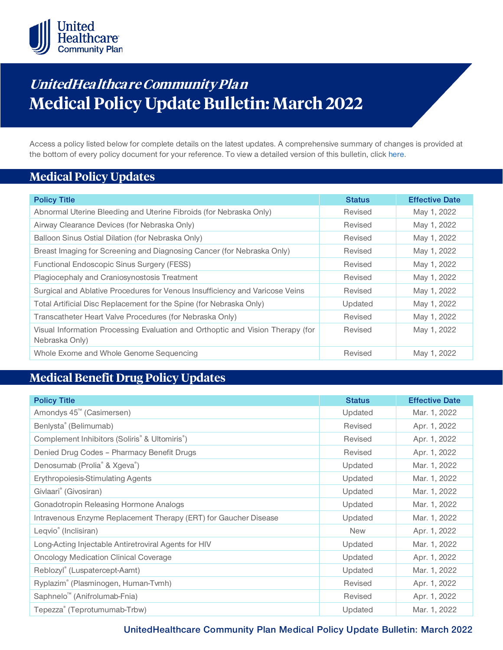

# **UnitedHea lthca re Community Pla <sup>n</sup> Medical Policy Update Bulletin: March 2022**

Access a policy listed below for complete details on the latest updates. A comprehensive summary of changes is provided at the bottom of every policy document for your reference. To view a detailed version of this bulletin, clic[k here.](https://www.uhcprovider.com/content/dam/provider/docs/public/policies/mpub-archives/comm-plan/community-plan-medical-policy-update-bulletin-march-2022-full.pdf)

### **Medical Policy Updates**

| <b>Policy Title</b>                                                                              | <b>Status</b> | <b>Effective Date</b> |
|--------------------------------------------------------------------------------------------------|---------------|-----------------------|
| Abnormal Uterine Bleeding and Uterine Fibroids (for Nebraska Only)                               | Revised       | May 1, 2022           |
| Airway Clearance Devices (for Nebraska Only)                                                     | Revised       | May 1, 2022           |
| Balloon Sinus Ostial Dilation (for Nebraska Only)                                                | Revised       | May 1, 2022           |
| Breast Imaging for Screening and Diagnosing Cancer (for Nebraska Only)                           | Revised       | May 1, 2022           |
| Functional Endoscopic Sinus Surgery (FESS)                                                       | Revised       | May 1, 2022           |
| Plagiocephaly and Craniosynostosis Treatment                                                     | Revised       | May 1, 2022           |
| Surgical and Ablative Procedures for Venous Insufficiency and Varicose Veins                     | Revised       | May 1, 2022           |
| Total Artificial Disc Replacement for the Spine (for Nebraska Only)                              | Updated       | May 1, 2022           |
| Transcatheter Heart Valve Procedures (for Nebraska Only)                                         | Revised       | May 1, 2022           |
| Visual Information Processing Evaluation and Orthoptic and Vision Therapy (for<br>Nebraska Only) | Revised       | May 1, 2022           |
| Whole Exome and Whole Genome Sequencing                                                          | Revised       | May 1, 2022           |

### **Medical Benefit Drug Policy Updates**

| <b>Policy Title</b>                                              | <b>Status</b> | <b>Effective Date</b> |
|------------------------------------------------------------------|---------------|-----------------------|
| Amondys 45 <sup>™</sup> (Casimersen)                             | Updated       | Mar. 1, 2022          |
| Benlysta® (Belimumab)                                            | Revised       | Apr. 1, 2022          |
| Complement Inhibitors (Soliris® & Ultomiris®)                    | Revised       | Apr. 1, 2022          |
| Denied Drug Codes - Pharmacy Benefit Drugs                       | Revised       | Apr. 1, 2022          |
| Denosumab (Prolia <sup>®</sup> & Xgeva <sup>®</sup> )            | Updated       | Mar. 1, 2022          |
| <b>Erythropoiesis-Stimulating Agents</b>                         | Updated       | Mar. 1, 2022          |
| Givlaari <sup>®</sup> (Givosiran)                                | Updated       | Mar. 1, 2022          |
| Gonadotropin Releasing Hormone Analogs                           | Updated       | Mar. 1, 2022          |
| Intravenous Enzyme Replacement Therapy (ERT) for Gaucher Disease | Updated       | Mar. 1, 2022          |
| Leqvio <sup>®</sup> (Inclisiran)                                 | <b>New</b>    | Apr. 1, 2022          |
| Long-Acting Injectable Antiretroviral Agents for HIV             | Updated       | Mar. 1, 2022          |
| <b>Oncology Medication Clinical Coverage</b>                     | Updated       | Apr. 1, 2022          |
| Reblozyl® (Luspatercept-Aamt)                                    | Updated       | Mar. 1, 2022          |
| Ryplazim® (Plasminogen, Human-Tvmh)                              | Revised       | Apr. 1, 2022          |
| Saphnelo <sup>™</sup> (Anifrolumab-Fnia)                         | Revised       | Apr. 1, 2022          |
| Tepezza® (Teprotumumab-Trbw)                                     | Updated       | Mar. 1, 2022          |

**UnitedHealthcare Community Plan Medical Policy Update Bulletin: March 2022**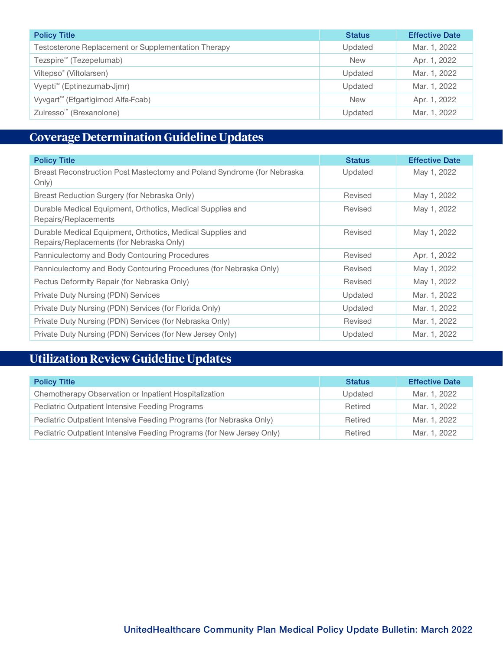| <b>Policy Title</b>                                 | <b>Status</b> | <b>Effective Date</b> |
|-----------------------------------------------------|---------------|-----------------------|
| Testosterone Replacement or Supplementation Therapy | Updated       | Mar. 1, 2022          |
| Tezspire <sup>™</sup> (Tezepelumab)                 | <b>New</b>    | Apr. 1, 2022          |
| Viltepso <sup>®</sup> (Viltolarsen)                 | Updated       | Mar. 1, 2022          |
| Vyepti <sup>™</sup> (Eptinezumab-Jjmr)              | Updated       | Mar. 1, 2022          |
| Vyvgart <sup>™</sup> (Efgartigimod Alfa-Fcab)       | <b>New</b>    | Apr. 1, 2022          |
| Zulresso <sup>™</sup> (Brexanolone)                 | Updated       | Mar. 1, 2022          |

## **[Coverage Determination Guideline Updates](https://www.uhcprovider.com/content/dam/provider/docs/public/policies/mpub-archives/comm-plan/community-plan-medical-policy-update-bulletin-march-2022-full.pdf#nj)**

| <b>Policy Title</b>                                                                                    | <b>Status</b> | <b>Effective Date</b> |
|--------------------------------------------------------------------------------------------------------|---------------|-----------------------|
| Breast Reconstruction Post Mastectomy and Poland Syndrome (for Nebraska<br>Only)                       | Updated       | May 1, 2022           |
| Breast Reduction Surgery (for Nebraska Only)                                                           | Revised       | May 1, 2022           |
| Durable Medical Equipment, Orthotics, Medical Supplies and<br>Repairs/Replacements                     | Revised       | May 1, 2022           |
| Durable Medical Equipment, Orthotics, Medical Supplies and<br>Repairs/Replacements (for Nebraska Only) | Revised       | May 1, 2022           |
| Panniculectomy and Body Contouring Procedures                                                          | Revised       | Apr. 1, 2022          |
| Panniculectomy and Body Contouring Procedures (for Nebraska Only)                                      | Revised       | May 1, 2022           |
| Pectus Deformity Repair (for Nebraska Only)                                                            | Revised       | May 1, 2022           |
| Private Duty Nursing (PDN) Services                                                                    | Updated       | Mar. 1, 2022          |
| Private Duty Nursing (PDN) Services (for Florida Only)                                                 | Updated       | Mar. 1, 2022          |
| Private Duty Nursing (PDN) Services (for Nebraska Only)                                                | Revised       | Mar. 1, 2022          |
| Private Duty Nursing (PDN) Services (for New Jersey Only)                                              | Updated       | Mar. 1, 2022          |

# **Utilization Review Guideline Updates**

| <b>Policy Title</b>                                                   | <b>Status</b> | <b>Effective Date</b> |
|-----------------------------------------------------------------------|---------------|-----------------------|
| Chemotherapy Observation or Inpatient Hospitalization                 | Updated       | Mar. 1, 2022          |
| Pediatric Outpatient Intensive Feeding Programs                       | Retired       | Mar. 1, 2022          |
| Pediatric Outpatient Intensive Feeding Programs (for Nebraska Only)   | Retired       | Mar. 1, 2022          |
| Pediatric Outpatient Intensive Feeding Programs (for New Jersey Only) | Retired       | Mar. 1, 2022          |